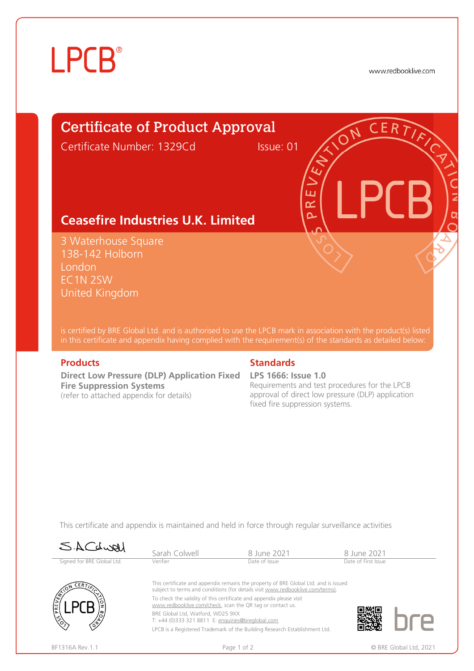# **LPCB**®

www.redbooklive.com

# Certificate of Product Approval

Certificate Number: 1329Cd Issue: 01

ய œ  $\overline{\mathbf{C}}$ 

# **Ceasefire Industries U.K. Limited**

3 Waterhouse Square 138-142 Holborn London EC1N 2SW United Kingdom

is certified by BRE Global Ltd. and is authorised to use the LPCB mark in association with the product(s) listed in this certificate and appendix having complied with the requirement(s) of the standards as detailed below:

**Direct Low Pressure (DLP) Application Fixed LPS 1666: Issue 1.0 Fire Suppression Systems**  (refer to attached appendix for details)

### **Products Standards**

Requirements and test procedures for the LPCB approval of direct low pressure (DLP) application fixed fire suppression systems.

This certificate and appendix is maintained and held in force through regular surveillance activities

| SACdwal                    | Sarah Colwell                                                                                                                                                         | 8 June 2021                                                                | 8 June 2021         |  |  |
|----------------------------|-----------------------------------------------------------------------------------------------------------------------------------------------------------------------|----------------------------------------------------------------------------|---------------------|--|--|
| Signed for BRE Global Ltd. | Verifier                                                                                                                                                              | Date of Issue                                                              | Date of First Issue |  |  |
| CERT                       | This certificate and appendix remains the property of BRE Global Ltd. and is issued<br>subject to terms and conditions (for details visit www.redbooklive.com/terms). |                                                                            |                     |  |  |
|                            | To check the validity of this certificate and appendix please visit<br>www.redbooklive.com/check, scan the QR tag or contact us.                                      |                                                                            |                     |  |  |
| ۱ř                         | BRE Global Ltd. Watford. WD25 9XX<br>T: +44 (0)333 321 8811 E: enquiries@breglobal.com                                                                                |                                                                            |                     |  |  |
|                            |                                                                                                                                                                       | LPCB is a Registered Trademark of the Building Research Establishment Ltd. |                     |  |  |
|                            |                                                                                                                                                                       |                                                                            |                     |  |  |